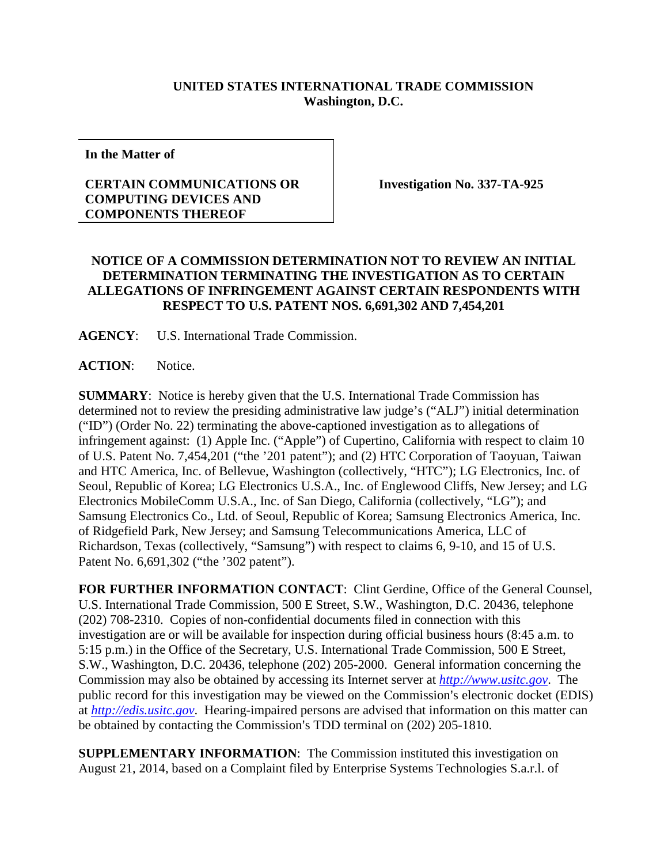## **UNITED STATES INTERNATIONAL TRADE COMMISSION Washington, D.C.**

**In the Matter of**

## **CERTAIN COMMUNICATIONS OR COMPUTING DEVICES AND COMPONENTS THEREOF**

**Investigation No. 337-TA-925**

## **NOTICE OF A COMMISSION DETERMINATION NOT TO REVIEW AN INITIAL DETERMINATION TERMINATING THE INVESTIGATION AS TO CERTAIN ALLEGATIONS OF INFRINGEMENT AGAINST CERTAIN RESPONDENTS WITH RESPECT TO U.S. PATENT NOS. 6,691,302 AND 7,454,201**

**AGENCY**: U.S. International Trade Commission.

**ACTION**: Notice.

**SUMMARY**: Notice is hereby given that the U.S. International Trade Commission has determined not to review the presiding administrative law judge's ("ALJ") initial determination ("ID") (Order No. 22) terminating the above-captioned investigation as to allegations of infringement against: (1) Apple Inc. ("Apple") of Cupertino, California with respect to claim 10 of U.S. Patent No. 7,454,201 ("the '201 patent"); and (2) HTC Corporation of Taoyuan, Taiwan and HTC America, Inc. of Bellevue, Washington (collectively, "HTC"); LG Electronics, Inc. of Seoul, Republic of Korea; LG Electronics U.S.A., Inc. of Englewood Cliffs, New Jersey; and LG Electronics MobileComm U.S.A., Inc. of San Diego, California (collectively, "LG"); and Samsung Electronics Co., Ltd. of Seoul, Republic of Korea; Samsung Electronics America, Inc. of Ridgefield Park, New Jersey; and Samsung Telecommunications America, LLC of Richardson, Texas (collectively, "Samsung") with respect to claims 6, 9-10, and 15 of U.S. Patent No. 6,691,302 ("the '302 patent").

**FOR FURTHER INFORMATION CONTACT**: Clint Gerdine, Office of the General Counsel, U.S. International Trade Commission, 500 E Street, S.W., Washington, D.C. 20436, telephone (202) 708-2310. Copies of non-confidential documents filed in connection with this investigation are or will be available for inspection during official business hours (8:45 a.m. to 5:15 p.m.) in the Office of the Secretary, U.S. International Trade Commission, 500 E Street, S.W., Washington, D.C. 20436, telephone (202) 205-2000. General information concerning the Commission may also be obtained by accessing its Internet server at *[http://www.usitc.gov](http://www.usitc.gov/)*. The public record for this investigation may be viewed on the Commission's electronic docket (EDIS) at *[http://edis.usitc.gov](http://edis.usitc.gov/)*. Hearing-impaired persons are advised that information on this matter can be obtained by contacting the Commission's TDD terminal on (202) 205-1810.

**SUPPLEMENTARY INFORMATION**: The Commission instituted this investigation on August 21, 2014, based on a Complaint filed by Enterprise Systems Technologies S.a.r.l. of